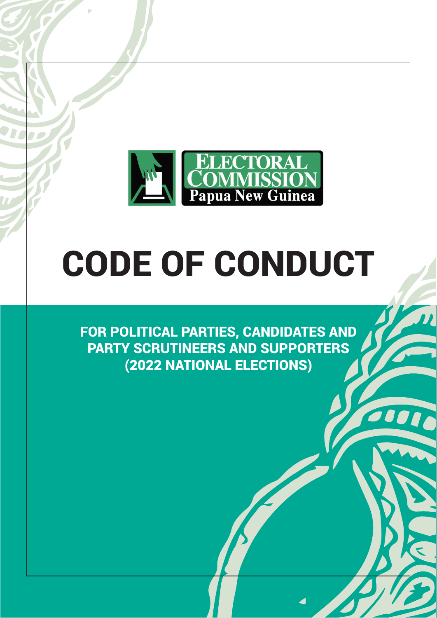

# CODE OF CONDUCT

FOR POLITICAL PARTIES, CANDIDATES AND PARTY SCRUTINEERS AND SUPPORTERS (2022 NATIONAL ELECTIONS)

100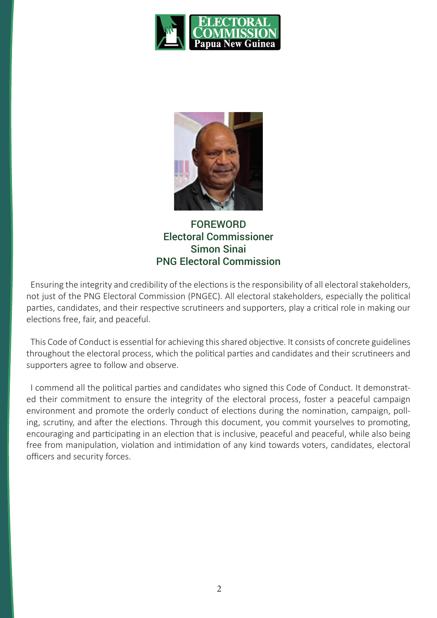



FOREWORD Electoral Commissioner Simon Sinai PNG Electoral Commission

Ensuring the integrity and credibility of the elections is the responsibility of all electoral stakeholders, not just of the PNG Electoral Commission (PNGEC). All electoral stakeholders, especially the political parties, candidates, and their respective scrutineers and supporters, play a critical role in making our elections free, fair, and peaceful.

This Code of Conduct is essential for achieving this shared objective. It consists of concrete guidelines throughout the electoral process, which the political parties and candidates and their scrutineers and supporters agree to follow and observe.

I commend all the political parties and candidates who signed this Code of Conduct. It demonstrated their commitment to ensure the integrity of the electoral process, foster a peaceful campaign environment and promote the orderly conduct of elections during the nomination, campaign, polling, scrutiny, and after the elections. Through this document, you commit yourselves to promoting, encouraging and participating in an election that is inclusive, peaceful and peaceful, while also being free from manipulation, violation and intimidation of any kind towards voters, candidates, electoral officers and security forces.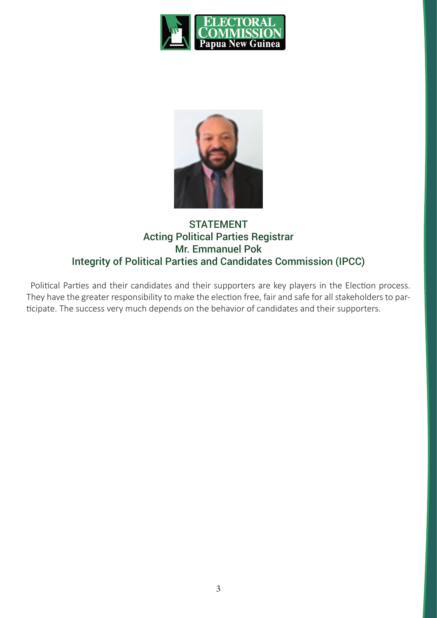



## STATEMENT Acting Political Parties Registrar Mr. Emmanuel Pok Integrity of Political Parties and Candidates Commission (IPCC)

Political Parties and their candidates and their supporters are key players in the Election process. They have the greater responsibility to make the election free, fair and safe for all stakeholders to participate. The success very much depends on the behavior of candidates and their supporters.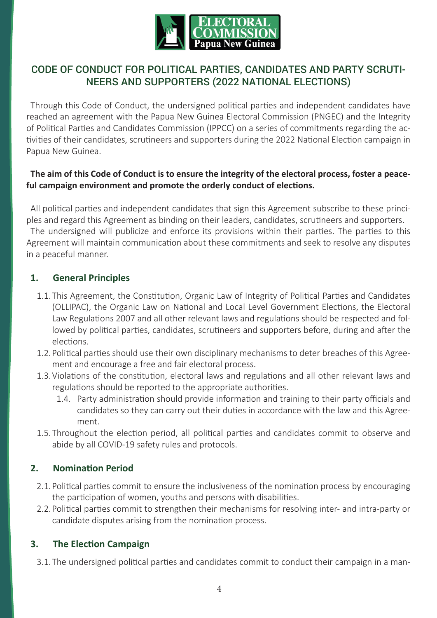

## CODE OF CONDUCT FOR POLITICAL PARTIES, CANDIDATES AND PARTY SCRUTI-NEERS AND SUPPORTERS (2022 NATIONAL ELECTIONS)

Through this Code of Conduct, the undersigned political parties and independent candidates have reached an agreement with the Papua New Guinea Electoral Commission (PNGEC) and the Integrity of Political Parties and Candidates Commission (IPPCC) on a series of commitments regarding the activities of their candidates, scrutineers and supporters during the 2022 National Election campaign in Papua New Guinea.

#### **The aim of this Code of Conduct is to ensure the integrity of the electoral process, foster a peaceful campaign environment and promote the orderly conduct of elections.**

All political parties and independent candidates that sign this Agreement subscribe to these principles and regard this Agreement as binding on their leaders, candidates, scrutineers and supporters. The undersigned will publicize and enforce its provisions within their parties. The parties to this Agreement will maintain communication about these commitments and seek to resolve any disputes in a peaceful manner.

#### **1. General Principles**

- 1.1.This Agreement, the Constitution, Organic Law of Integrity of Political Parties and Candidates (OLLIPAC), the Organic Law on National and Local Level Government Elections, the Electoral Law Regulations 2007 and all other relevant laws and regulations should be respected and followed by political parties, candidates, scrutineers and supporters before, during and after the elections.
- 1.2.Political parties should use their own disciplinary mechanisms to deter breaches of this Agreement and encourage a free and fair electoral process.
- 1.3.Violations of the constitution, electoral laws and regulations and all other relevant laws and regulations should be reported to the appropriate authorities.
	- 1.4. Party administration should provide information and training to their party officials and candidates so they can carry out their duties in accordance with the law and this Agreement.
- 1.5.Throughout the election period, all political parties and candidates commit to observe and abide by all COVID-19 safety rules and protocols.

#### **2. Nomination Period**

- 2.1.Political parties commit to ensure the inclusiveness of the nomination process by encouraging the participation of women, youths and persons with disabilities.
- 2.2.Political parties commit to strengthen their mechanisms for resolving inter- and intra-party or candidate disputes arising from the nomination process.

## **3. The Election Campaign**

3.1.The undersigned political parties and candidates commit to conduct their campaign in a man-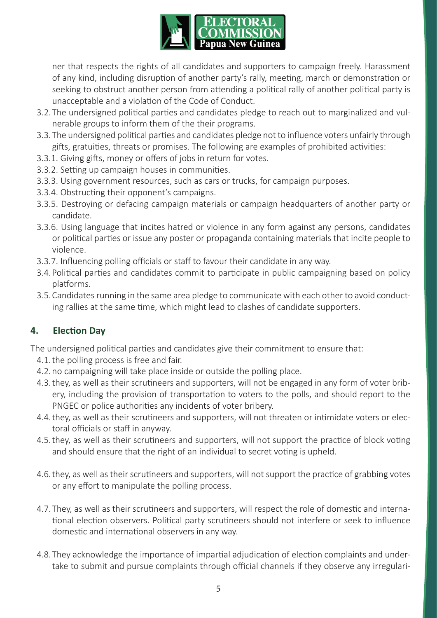

ner that respects the rights of all candidates and supporters to campaign freely. Harassment of any kind, including disruption of another party's rally, meeting, march or demonstration or seeking to obstruct another person from attending a political rally of another political party is unacceptable and a violation of the Code of Conduct.

- 3.2.The undersigned political parties and candidates pledge to reach out to marginalized and vulnerable groups to inform them of the their programs.
- 3.3.The undersigned political parties and candidates pledge not to influence voters unfairly through gifts, gratuities, threats or promises. The following are examples of prohibited activities:
- 3.3.1. Giving gifts, money or offers of jobs in return for votes.
- 3.3.2. Setting up campaign houses in communities.
- 3.3.3. Using government resources, such as cars or trucks, for campaign purposes.
- 3.3.4. Obstructing their opponent's campaigns.
- 3.3.5. Destroying or defacing campaign materials or campaign headquarters of another party or candidate.
- 3.3.6. Using language that incites hatred or violence in any form against any persons, candidates or political parties or issue any poster or propaganda containing materials that incite people to violence.
- 3.3.7. Influencing polling officials or staff to favour their candidate in any way.
- 3.4.Political parties and candidates commit to participate in public campaigning based on policy platforms.
- 3.5.Candidates running in the same area pledge to communicate with each other to avoid conducting rallies at the same time, which might lead to clashes of candidate supporters.

## **4. Election Day**

The undersigned political parties and candidates give their commitment to ensure that:

- 4.1.the polling process is free and fair.
- 4.2.no campaigning will take place inside or outside the polling place.
- 4.3.they, as well as their scrutineers and supporters, will not be engaged in any form of voter bribery, including the provision of transportation to voters to the polls, and should report to the PNGEC or police authorities any incidents of voter bribery.
- 4.4.they, as well as their scrutineers and supporters, will not threaten or intimidate voters or electoral officials or staff in anyway.
- 4.5.they, as well as their scrutineers and supporters, will not support the practice of block voting and should ensure that the right of an individual to secret voting is upheld.
- 4.6.they, as well as their scrutineers and supporters, will not support the practice of grabbing votes or any effort to manipulate the polling process.
- 4.7.They, as well as their scrutineers and supporters, will respect the role of domestic and international election observers. Political party scrutineers should not interfere or seek to influence domestic and international observers in any way.
- 4.8.They acknowledge the importance of impartial adjudication of election complaints and undertake to submit and pursue complaints through official channels if they observe any irregulari-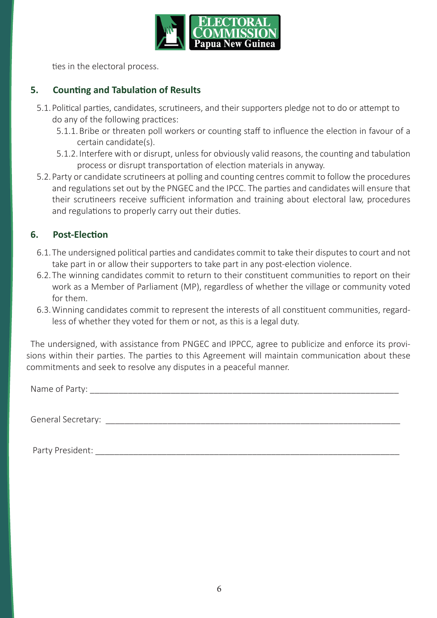

ties in the electoral process.

#### **5. Counting and Tabulation of Results**

- 5.1.Political parties, candidates, scrutineers, and their supporters pledge not to do or attempt to do any of the following practices:
	- 5.1.1.Bribe or threaten poll workers or counting staff to influence the election in favour of a certain candidate(s).
	- 5.1.2. Interfere with or disrupt, unless for obviously valid reasons, the counting and tabulation process or disrupt transportation of election materials in anyway.
- 5.2.Party or candidate scrutineers at polling and counting centres commit to follow the procedures and regulations set out by the PNGEC and the IPCC. The parties and candidates will ensure that their scrutineers receive sufficient information and training about electoral law, procedures and regulations to properly carry out their duties.

### **6. Post-Election**

- 6.1.The undersigned political parties and candidates commit to take their disputes to court and not take part in or allow their supporters to take part in any post-election violence.
- 6.2.The winning candidates commit to return to their constituent communities to report on their work as a Member of Parliament (MP), regardless of whether the village or community voted for them.
- 6.3.Winning candidates commit to represent the interests of all constituent communities, regardless of whether they voted for them or not, as this is a legal duty.

The undersigned, with assistance from PNGEC and IPPCC, agree to publicize and enforce its provisions within their parties. The parties to this Agreement will maintain communication about these commitments and seek to resolve any disputes in a peaceful manner.

Name of Party: \_\_\_\_\_\_\_\_\_\_\_\_\_\_\_\_\_\_\_\_\_\_\_\_\_\_\_\_\_\_\_\_\_\_\_\_\_\_\_\_\_\_\_\_\_\_\_\_\_\_\_\_\_\_\_\_\_\_\_\_\_\_\_\_\_

General Secretary:

Party President: **Example 20** For the set of the set of the set of the set of the set of the set of the set of the set of the set of the set of the set of the set of the set of the set of the set of the set of the set of t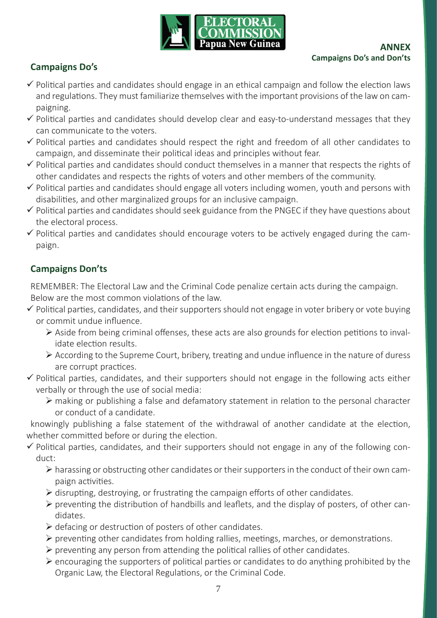

# **Campaigns Do's**

- $\checkmark$  Political parties and candidates should engage in an ethical campaign and follow the election laws and regulations. They must familiarize themselves with the important provisions of the law on campaigning.
- $\checkmark$  Political parties and candidates should develop clear and easy-to-understand messages that they can communicate to the voters.
- $\checkmark$  Political parties and candidates should respect the right and freedom of all other candidates to campaign, and disseminate their political ideas and principles without fear.
- $\checkmark$  Political parties and candidates should conduct themselves in a manner that respects the rights of other candidates and respects the rights of voters and other members of the community.
- $\checkmark$  Political parties and candidates should engage all voters including women, youth and persons with disabilities, and other marginalized groups for an inclusive campaign.
- $\checkmark$  Political parties and candidates should seek guidance from the PNGEC if they have questions about the electoral process.
- $\checkmark$  Political parties and candidates should encourage voters to be actively engaged during the campaign.

## **Campaigns Don'ts**

REMEMBER: The Electoral Law and the Criminal Code penalize certain acts during the campaign. Below are the most common violations of the law.

- $\checkmark$  Political parties, candidates, and their supporters should not engage in voter bribery or vote buying or commit undue influence.
	- ¾ Aside from being criminal offenses, these acts are also grounds for election petitions to invalidate election results.
	- $\triangleright$  According to the Supreme Court, bribery, treating and undue influence in the nature of duress are corrupt practices.
- $\checkmark$  Political parties, candidates, and their supporters should not engage in the following acts either verbally or through the use of social media:
	- $\triangleright$  making or publishing a false and defamatory statement in relation to the personal character or conduct of a candidate.

knowingly publishing a false statement of the withdrawal of another candidate at the election, whether committed before or during the election.

- $\checkmark$  Political parties, candidates, and their supporters should not engage in any of the following conduct:
	- $\triangleright$  harassing or obstructing other candidates or their supporters in the conduct of their own campaign activities.
	- $\triangleright$  disrupting, destroying, or frustrating the campaign efforts of other candidates.
	- $\triangleright$  preventing the distribution of handbills and leaflets, and the display of posters, of other candidates.
	- $\triangleright$  defacing or destruction of posters of other candidates.
	- ¾ preventing other candidates from holding rallies, meetings, marches, or demonstrations.
	- $\triangleright$  preventing any person from attending the political rallies of other candidates.
	- $\triangleright$  encouraging the supporters of political parties or candidates to do anything prohibited by the Organic Law, the Electoral Regulations, or the Criminal Code.